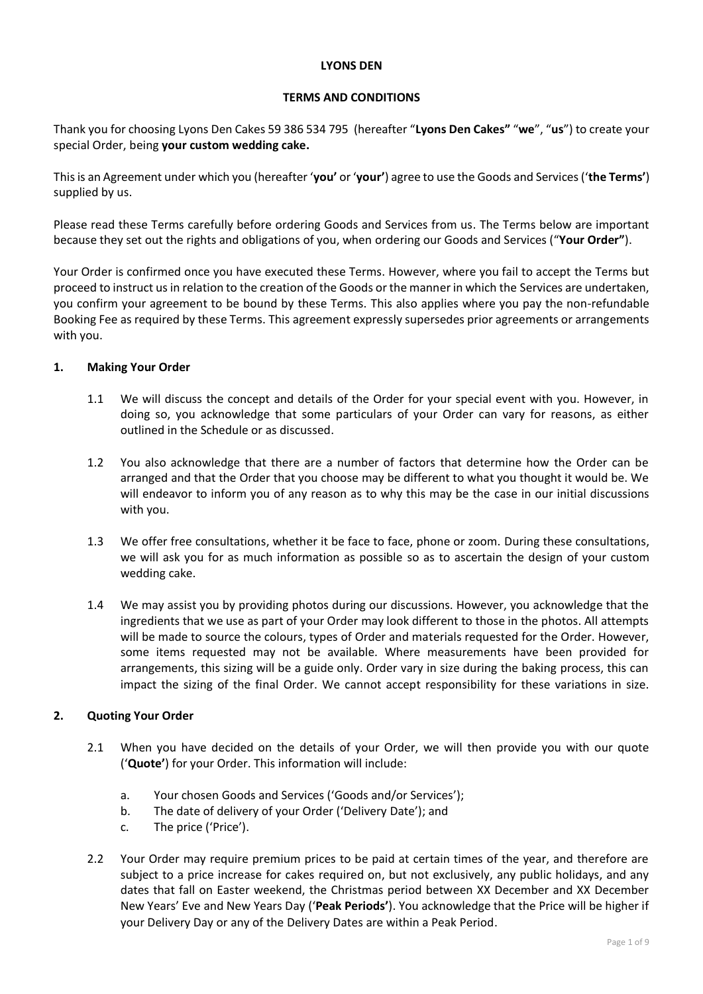#### **LYONS DEN**

#### **TERMS AND CONDITIONS**

Thank you for choosing Lyons Den Cakes 59 386 534 795 (hereafter "**Lyons Den Cakes"** "**we**", "**us**") to create your special Order, being **your custom wedding cake.**

This is an Agreement under which you (hereafter '**you'** or '**your'**) agree to use the Goods and Services ('**the Terms'**) supplied by us.

Please read these Terms carefully before ordering Goods and Services from us. The Terms below are important because they set out the rights and obligations of you, when ordering our Goods and Services ("**Your Order"**).

Your Order is confirmed once you have executed these Terms. However, where you fail to accept the Terms but proceed to instruct us in relation to the creation of the Goods or the manner in which the Services are undertaken, you confirm your agreement to be bound by these Terms. This also applies where you pay the non-refundable Booking Fee as required by these Terms. This agreement expressly supersedes prior agreements or arrangements with you.

## **1. Making Your Order**

- 1.1 We will discuss the concept and details of the Order for your special event with you. However, in doing so, you acknowledge that some particulars of your Order can vary for reasons, as either outlined in the Schedule or as discussed.
- 1.2 You also acknowledge that there are a number of factors that determine how the Order can be arranged and that the Order that you choose may be different to what you thought it would be. We will endeavor to inform you of any reason as to why this may be the case in our initial discussions with you.
- 1.3 We offer free consultations, whether it be face to face, phone or zoom. During these consultations, we will ask you for as much information as possible so as to ascertain the design of your custom wedding cake.
- 1.4 We may assist you by providing photos during our discussions. However, you acknowledge that the ingredients that we use as part of your Order may look different to those in the photos. All attempts will be made to source the colours, types of Order and materials requested for the Order. However, some items requested may not be available. Where measurements have been provided for arrangements, this sizing will be a guide only. Order vary in size during the baking process, this can impact the sizing of the final Order. We cannot accept responsibility for these variations in size.

# **2. Quoting Your Order**

- 2.1 When you have decided on the details of your Order, we will then provide you with our quote ('**Quote'**) for your Order. This information will include:
	- a. Your chosen Goods and Services ('Goods and/or Services');
	- b. The date of delivery of your Order ('Delivery Date'); and
	- c. The price ('Price').
- 2.2 Your Order may require premium prices to be paid at certain times of the year, and therefore are subject to a price increase for cakes required on, but not exclusively, any public holidays, and any dates that fall on Easter weekend, the Christmas period between XX December and XX December New Years' Eve and New Years Day ('**Peak Periods'**). You acknowledge that the Price will be higher if your Delivery Day or any of the Delivery Dates are within a Peak Period.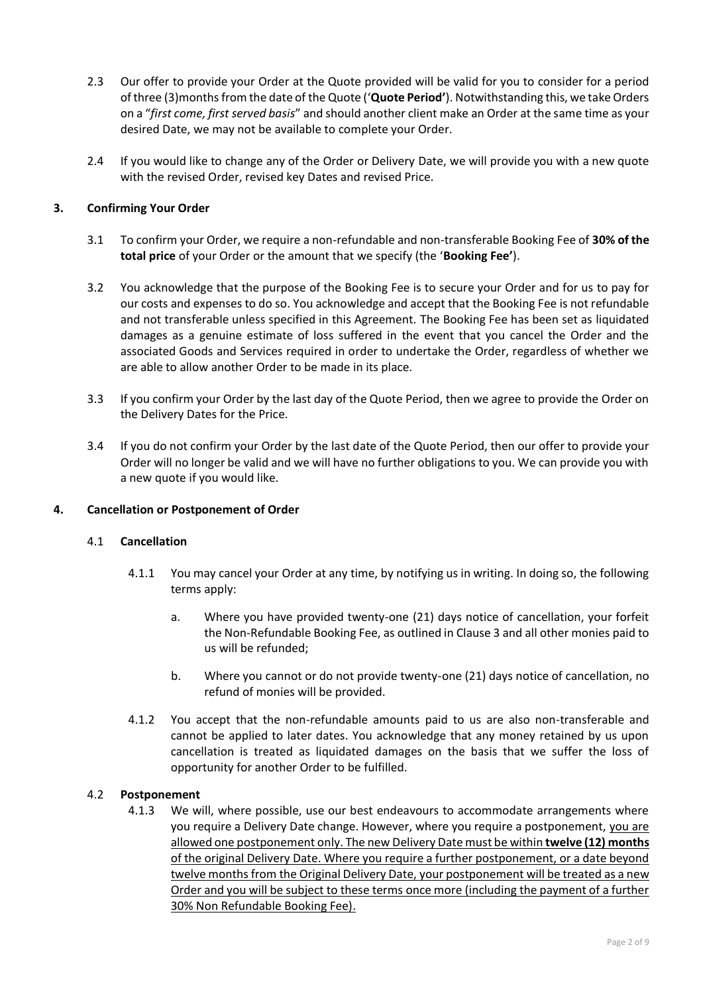- 2.3 Our offer to provide your Order at the Quote provided will be valid for you to consider for a period of three (3)monthsfrom the date of the Quote ('**Quote Period'**). Notwithstanding this, we take Orders on a "*first come, first served basis*" and should another client make an Order at the same time as your desired Date, we may not be available to complete your Order.
- 2.4 If you would like to change any of the Order or Delivery Date, we will provide you with a new quote with the revised Order, revised key Dates and revised Price.

# **3. Confirming Your Order**

- 3.1 To confirm your Order, we require a non-refundable and non-transferable Booking Fee of **30% of the total price** of your Order or the amount that we specify (the '**Booking Fee'**).
- 3.2 You acknowledge that the purpose of the Booking Fee is to secure your Order and for us to pay for our costs and expenses to do so. You acknowledge and accept that the Booking Fee is not refundable and not transferable unless specified in this Agreement. The Booking Fee has been set as liquidated damages as a genuine estimate of loss suffered in the event that you cancel the Order and the associated Goods and Services required in order to undertake the Order, regardless of whether we are able to allow another Order to be made in its place.
- 3.3 If you confirm your Order by the last day of the Quote Period, then we agree to provide the Order on the Delivery Dates for the Price.
- 3.4 If you do not confirm your Order by the last date of the Quote Period, then our offer to provide your Order will no longer be valid and we will have no further obligations to you. We can provide you with a new quote if you would like.

#### **4. Cancellation or Postponement of Order**

#### 4.1 **Cancellation**

- 4.1.1 You may cancel your Order at any time, by notifying us in writing. In doing so, the following terms apply:
	- a. Where you have provided twenty-one (21) days notice of cancellation, your forfeit the Non-Refundable Booking Fee, as outlined in Clause 3 and all other monies paid to us will be refunded;
	- b. Where you cannot or do not provide twenty-one (21) days notice of cancellation, no refund of monies will be provided.
- 4.1.2 You accept that the non-refundable amounts paid to us are also non-transferable and cannot be applied to later dates. You acknowledge that any money retained by us upon cancellation is treated as liquidated damages on the basis that we suffer the loss of opportunity for another Order to be fulfilled.

#### 4.2 **Postponement**

4.1.3 We will, where possible, use our best endeavours to accommodate arrangements where you require a Delivery Date change. However, where you require a postponement, you are allowed one postponement only. The new Delivery Date must be within **twelve (12) months** of the original Delivery Date. Where you require a further postponement, or a date beyond twelve months from the Original Delivery Date, your postponement will be treated as a new Order and you will be subject to these terms once more (including the payment of a further 30% Non Refundable Booking Fee).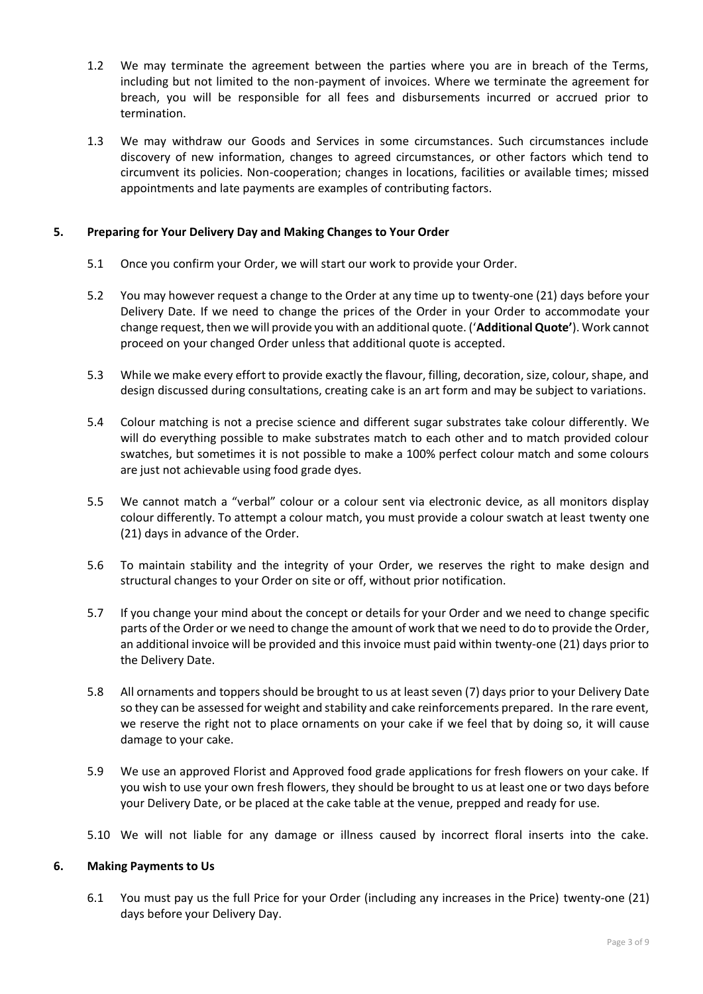- 1.2 We may terminate the agreement between the parties where you are in breach of the Terms, including but not limited to the non-payment of invoices. Where we terminate the agreement for breach, you will be responsible for all fees and disbursements incurred or accrued prior to termination.
- 1.3 We may withdraw our Goods and Services in some circumstances. Such circumstances include discovery of new information, changes to agreed circumstances, or other factors which tend to circumvent its policies. Non-cooperation; changes in locations, facilities or available times; missed appointments and late payments are examples of contributing factors.

## **5. Preparing for Your Delivery Day and Making Changes to Your Order**

- 5.1 Once you confirm your Order, we will start our work to provide your Order.
- 5.2 You may however request a change to the Order at any time up to twenty-one (21) days before your Delivery Date. If we need to change the prices of the Order in your Order to accommodate your change request, then we will provide you with an additional quote. ('**Additional Quote'**). Work cannot proceed on your changed Order unless that additional quote is accepted.
- 5.3 While we make every effort to provide exactly the flavour, filling, decoration, size, colour, shape, and design discussed during consultations, creating cake is an art form and may be subject to variations.
- 5.4 Colour matching is not a precise science and different sugar substrates take colour differently. We will do everything possible to make substrates match to each other and to match provided colour swatches, but sometimes it is not possible to make a 100% perfect colour match and some colours are just not achievable using food grade dyes.
- 5.5 We cannot match a "verbal" colour or a colour sent via electronic device, as all monitors display colour differently. To attempt a colour match, you must provide a colour swatch at least twenty one (21) days in advance of the Order.
- 5.6 To maintain stability and the integrity of your Order, we reserves the right to make design and structural changes to your Order on site or off, without prior notification.
- 5.7 If you change your mind about the concept or details for your Order and we need to change specific parts of the Order or we need to change the amount of work that we need to do to provide the Order, an additional invoice will be provided and this invoice must paid within twenty-one (21) days prior to the Delivery Date.
- 5.8 All ornaments and toppers should be brought to us at least seven (7) days prior to your Delivery Date so they can be assessed for weight and stability and cake reinforcements prepared. In the rare event, we reserve the right not to place ornaments on your cake if we feel that by doing so, it will cause damage to your cake.
- 5.9 We use an approved Florist and Approved food grade applications for fresh flowers on your cake. If you wish to use your own fresh flowers, they should be brought to us at least one or two days before your Delivery Date, or be placed at the cake table at the venue, prepped and ready for use.
- 5.10 We will not liable for any damage or illness caused by incorrect floral inserts into the cake.

#### **6. Making Payments to Us**

6.1 You must pay us the full Price for your Order (including any increases in the Price) twenty-one (21) days before your Delivery Day.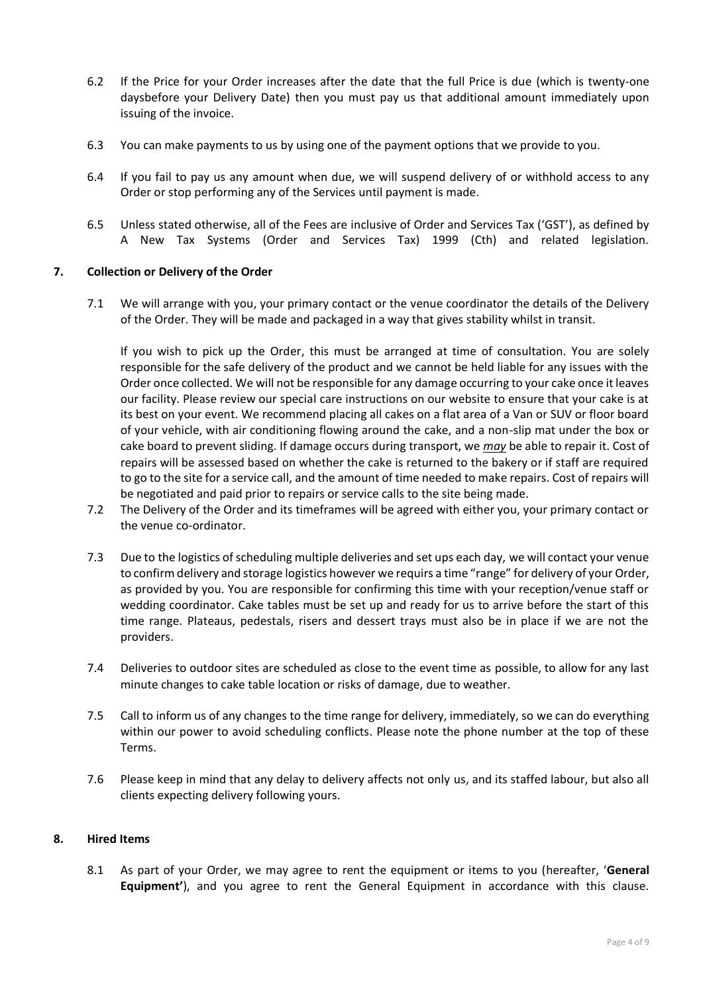- 6.2 If the Price for your Order increases after the date that the full Price is due (which is twenty-one daysbefore your Delivery Date) then you must pay us that additional amount immediately upon issuing of the invoice.
- 6.3 You can make payments to us by using one of the payment options that we provide to you.
- 6.4 If you fail to pay us any amount when due, we will suspend delivery of or withhold access to any Order or stop performing any of the Services until payment is made.
- 6.5 Unless stated otherwise, all of the Fees are inclusive of Order and Services Tax ('GST'), as defined by A New Tax Systems (Order and Services Tax) 1999 (Cth) and related legislation.

## **7. Collection or Delivery of the Order**

7.1 We will arrange with you, your primary contact or the venue coordinator the details of the Delivery of the Order. They will be made and packaged in a way that gives stability whilst in transit.

If you wish to pick up the Order, this must be arranged at time of consultation. You are solely responsible for the safe delivery of the product and we cannot be held liable for any issues with the Order once collected. We will not be responsible for any damage occurring to your cake once it leaves our facility. Please review our special care instructions on our website to ensure that your cake is at its best on your event. We recommend placing all cakes on a flat area of a Van or SUV or floor board of your vehicle, with air conditioning flowing around the cake, and a non-slip mat under the box or cake board to prevent sliding. If damage occurs during transport, we *may* be able to repair it. Cost of repairs will be assessed based on whether the cake is returned to the bakery or if staff are required to go to the site for a service call, and the amount of time needed to make repairs. Cost of repairs will be negotiated and paid prior to repairs or service calls to the site being made.

- 7.2 The Delivery of the Order and its timeframes will be agreed with either you, your primary contact or the venue co-ordinator.
- 7.3 Due to the logistics of scheduling multiple deliveries and set ups each day, we will contact your venue to confirm delivery and storage logistics however we requirs a time "range" for delivery of your Order, as provided by you. You are responsible for confirming this time with your reception/venue staff or wedding coordinator. Cake tables must be set up and ready for us to arrive before the start of this time range. Plateaus, pedestals, risers and dessert trays must also be in place if we are not the providers.
- 7.4 Deliveries to outdoor sites are scheduled as close to the event time as possible, to allow for any last minute changes to cake table location or risks of damage, due to weather.
- 7.5 Call to inform us of any changes to the time range for delivery, immediately, so we can do everything within our power to avoid scheduling conflicts. Please note the phone number at the top of these Terms.
- 7.6 Please keep in mind that any delay to delivery affects not only us, and its staffed labour, but also all clients expecting delivery following yours.

#### **8. Hired Items**

8.1 As part of your Order, we may agree to rent the equipment or items to you (hereafter, '**General Equipment'**), and you agree to rent the General Equipment in accordance with this clause.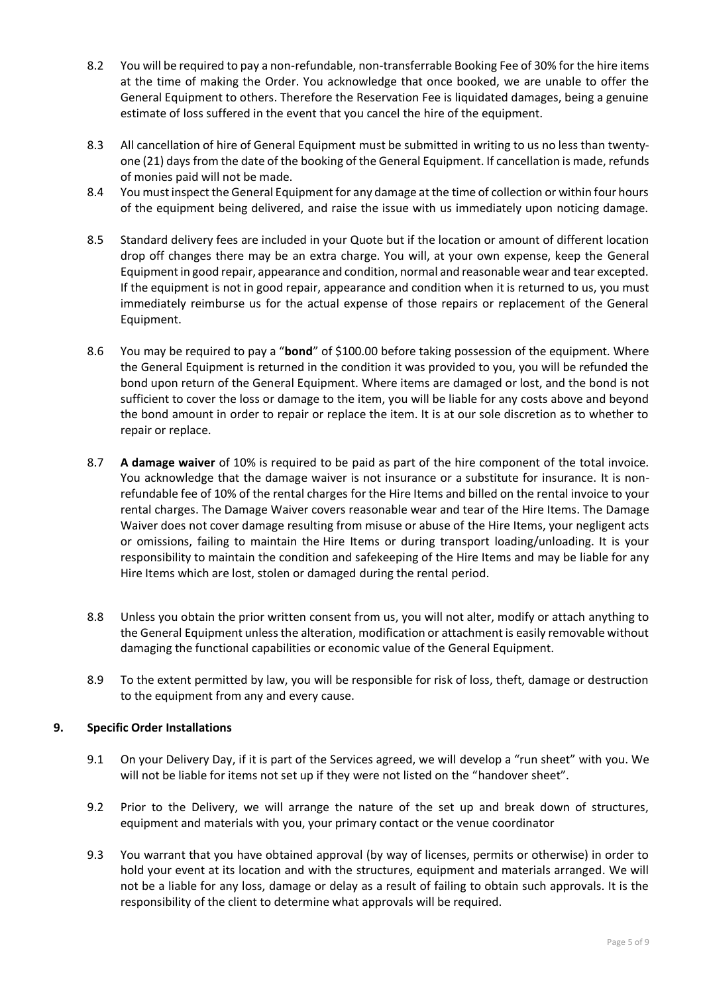- 8.2 You will be required to pay a non-refundable, non-transferrable Booking Fee of 30% for the hire items at the time of making the Order. You acknowledge that once booked, we are unable to offer the General Equipment to others. Therefore the Reservation Fee is liquidated damages, being a genuine estimate of loss suffered in the event that you cancel the hire of the equipment.
- 8.3 All cancellation of hire of General Equipment must be submitted in writing to us no less than twentyone (21) days from the date of the booking of the General Equipment. If cancellation is made, refunds of monies paid will not be made.
- 8.4 You must inspect the General Equipment for any damage at the time of collection or within four hours of the equipment being delivered, and raise the issue with us immediately upon noticing damage.
- 8.5 Standard delivery fees are included in your Quote but if the location or amount of different location drop off changes there may be an extra charge. You will, at your own expense, keep the General Equipment in good repair, appearance and condition, normal and reasonable wear and tear excepted. If the equipment is not in good repair, appearance and condition when it is returned to us, you must immediately reimburse us for the actual expense of those repairs or replacement of the General Equipment.
- 8.6 You may be required to pay a "**bond**" of \$100.00 before taking possession of the equipment. Where the General Equipment is returned in the condition it was provided to you, you will be refunded the bond upon return of the General Equipment. Where items are damaged or lost, and the bond is not sufficient to cover the loss or damage to the item, you will be liable for any costs above and beyond the bond amount in order to repair or replace the item. It is at our sole discretion as to whether to repair or replace.
- 8.7 **A damage waiver** of 10% is required to be paid as part of the hire component of the total invoice. You acknowledge that the damage waiver is not insurance or a substitute for insurance. It is nonrefundable fee of 10% of the rental charges for the Hire Items and billed on the rental invoice to your rental charges. The Damage Waiver covers reasonable wear and tear of the Hire Items. The Damage Waiver does not cover damage resulting from misuse or abuse of the Hire Items, your negligent acts or omissions, failing to maintain the Hire Items or during transport loading/unloading. It is your responsibility to maintain the condition and safekeeping of the Hire Items and may be liable for any Hire Items which are lost, stolen or damaged during the rental period.
- 8.8 Unless you obtain the prior written consent from us, you will not alter, modify or attach anything to the General Equipment unless the alteration, modification or attachment is easily removable without damaging the functional capabilities or economic value of the General Equipment.
- 8.9 To the extent permitted by law, you will be responsible for risk of loss, theft, damage or destruction to the equipment from any and every cause.

# **9. Specific Order Installations**

- 9.1 On your Delivery Day, if it is part of the Services agreed, we will develop a "run sheet" with you. We will not be liable for items not set up if they were not listed on the "handover sheet".
- 9.2 Prior to the Delivery, we will arrange the nature of the set up and break down of structures, equipment and materials with you, your primary contact or the venue coordinator
- 9.3 You warrant that you have obtained approval (by way of licenses, permits or otherwise) in order to hold your event at its location and with the structures, equipment and materials arranged. We will not be a liable for any loss, damage or delay as a result of failing to obtain such approvals. It is the responsibility of the client to determine what approvals will be required.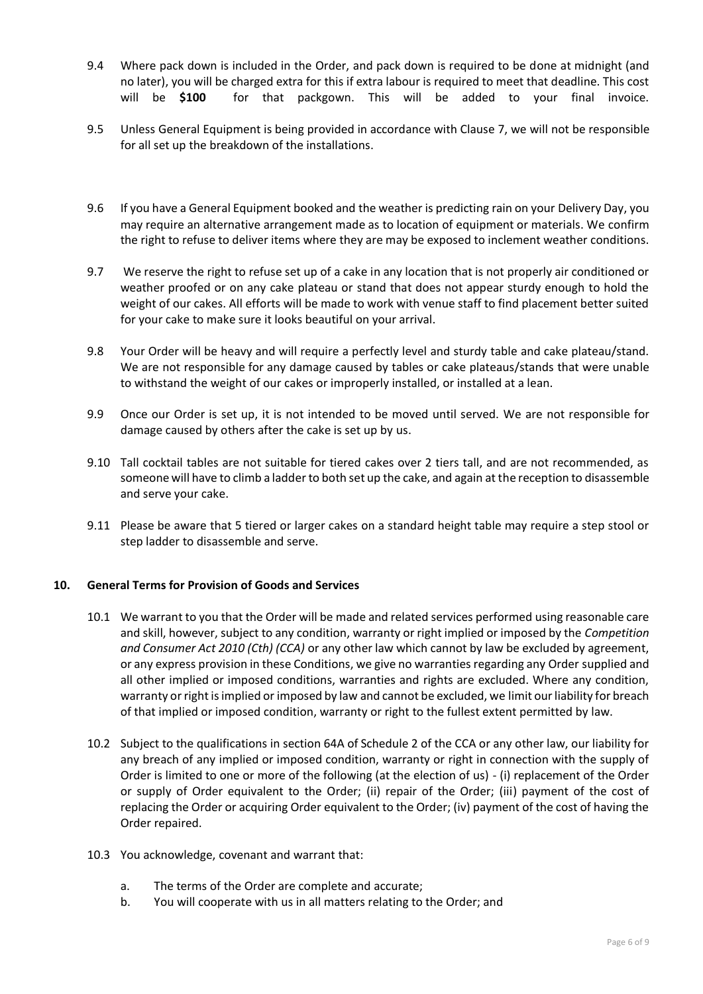- 9.4 Where pack down is included in the Order, and pack down is required to be done at midnight (and no later), you will be charged extra for this if extra labour is required to meet that deadline. This cost will be **\$100** for that packgown. This will be added to your final invoice.
- 9.5 Unless General Equipment is being provided in accordance with Clause 7, we will not be responsible for all set up the breakdown of the installations.
- 9.6 If you have a General Equipment booked and the weather is predicting rain on your Delivery Day, you may require an alternative arrangement made as to location of equipment or materials. We confirm the right to refuse to deliver items where they are may be exposed to inclement weather conditions.
- 9.7 We reserve the right to refuse set up of a cake in any location that is not properly air conditioned or weather proofed or on any cake plateau or stand that does not appear sturdy enough to hold the weight of our cakes. All efforts will be made to work with venue staff to find placement better suited for your cake to make sure it looks beautiful on your arrival.
- 9.8 Your Order will be heavy and will require a perfectly level and sturdy table and cake plateau/stand. We are not responsible for any damage caused by tables or cake plateaus/stands that were unable to withstand the weight of our cakes or improperly installed, or installed at a lean.
- 9.9 Once our Order is set up, it is not intended to be moved until served. We are not responsible for damage caused by others after the cake is set up by us.
- 9.10 Tall cocktail tables are not suitable for tiered cakes over 2 tiers tall, and are not recommended, as someone will have to climb a ladder to both set up the cake, and again at the reception to disassemble and serve your cake.
- 9.11 Please be aware that 5 tiered or larger cakes on a standard height table may require a step stool or step ladder to disassemble and serve.

#### **10. General Terms for Provision of Goods and Services**

- 10.1 We warrant to you that the Order will be made and related services performed using reasonable care and skill, however, subject to any condition, warranty or right implied or imposed by the *Competition and Consumer Act 2010 (Cth) (CCA)* or any other law which cannot by law be excluded by agreement, or any express provision in these Conditions, we give no warranties regarding any Order supplied and all other implied or imposed conditions, warranties and rights are excluded. Where any condition, warranty or right is implied or imposed by law and cannot be excluded, we limit our liability for breach of that implied or imposed condition, warranty or right to the fullest extent permitted by law.
- 10.2 Subject to the qualifications in section 64A of Schedule 2 of the CCA or any other law, our liability for any breach of any implied or imposed condition, warranty or right in connection with the supply of Order is limited to one or more of the following (at the election of us) - (i) replacement of the Order or supply of Order equivalent to the Order; (ii) repair of the Order; (iii) payment of the cost of replacing the Order or acquiring Order equivalent to the Order; (iv) payment of the cost of having the Order repaired.
- 10.3 You acknowledge, covenant and warrant that:
	- a. The terms of the Order are complete and accurate;
	- b. You will cooperate with us in all matters relating to the Order; and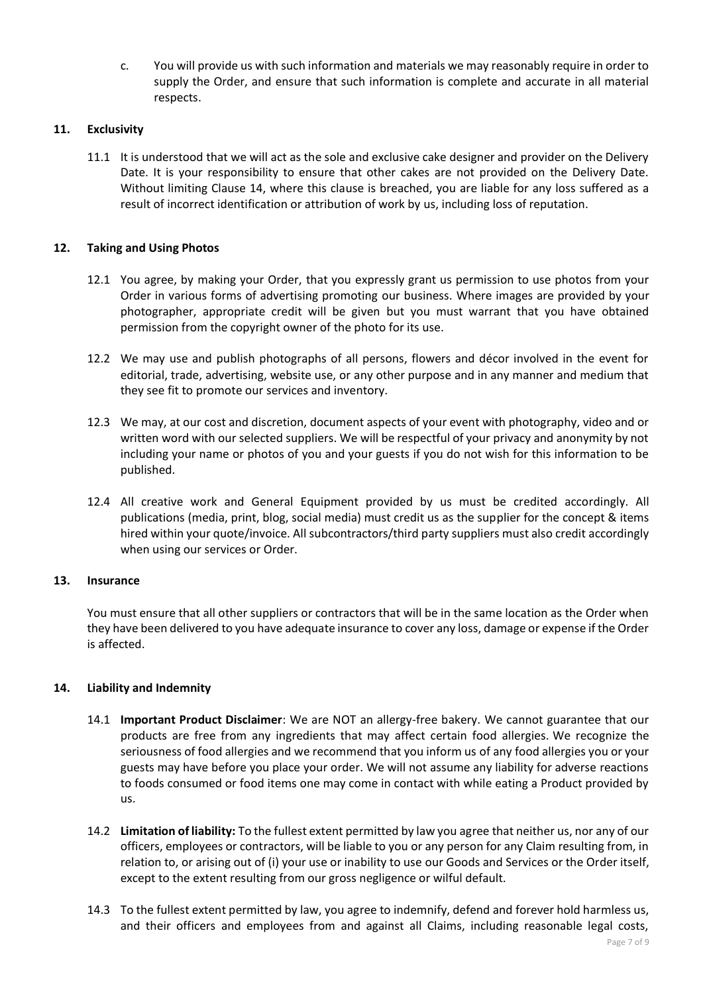c. You will provide us with such information and materials we may reasonably require in order to supply the Order, and ensure that such information is complete and accurate in all material respects.

## **11. Exclusivity**

11.1 It is understood that we will act as the sole and exclusive cake designer and provider on the Delivery Date. It is your responsibility to ensure that other cakes are not provided on the Delivery Date. Without limiting Clause 14, where this clause is breached, you are liable for any loss suffered as a result of incorrect identification or attribution of work by us, including loss of reputation.

## **12. Taking and Using Photos**

- 12.1 You agree, by making your Order, that you expressly grant us permission to use photos from your Order in various forms of advertising promoting our business. Where images are provided by your photographer, appropriate credit will be given but you must warrant that you have obtained permission from the copyright owner of the photo for its use.
- 12.2 We may use and publish photographs of all persons, flowers and décor involved in the event for editorial, trade, advertising, website use, or any other purpose and in any manner and medium that they see fit to promote our services and inventory.
- 12.3 We may, at our cost and discretion, document aspects of your event with photography, video and or written word with our selected suppliers. We will be respectful of your privacy and anonymity by not including your name or photos of you and your guests if you do not wish for this information to be published.
- 12.4 All creative work and General Equipment provided by us must be credited accordingly. All publications (media, print, blog, social media) must credit us as the supplier for the concept & items hired within your quote/invoice. All subcontractors/third party suppliers must also credit accordingly when using our services or Order.

#### **13. Insurance**

You must ensure that all other suppliers or contractors that will be in the same location as the Order when they have been delivered to you have adequate insurance to cover any loss, damage or expense if the Order is affected.

#### **14. Liability and Indemnity**

- 14.1 **Important Product Disclaimer**: We are NOT an allergy-free bakery. We cannot guarantee that our products are free from any ingredients that may affect certain food allergies. We recognize the seriousness of food allergies and we recommend that you inform us of any food allergies you or your guests may have before you place your order. We will not assume any liability for adverse reactions to foods consumed or food items one may come in contact with while eating a Product provided by us.
- 14.2 **Limitation of liability:** To the fullest extent permitted by law you agree that neither us, nor any of our officers, employees or contractors, will be liable to you or any person for any Claim resulting from, in relation to, or arising out of (i) your use or inability to use our Goods and Services or the Order itself, except to the extent resulting from our gross negligence or wilful default.
- 14.3 To the fullest extent permitted by law, you agree to indemnify, defend and forever hold harmless us, and their officers and employees from and against all Claims, including reasonable legal costs,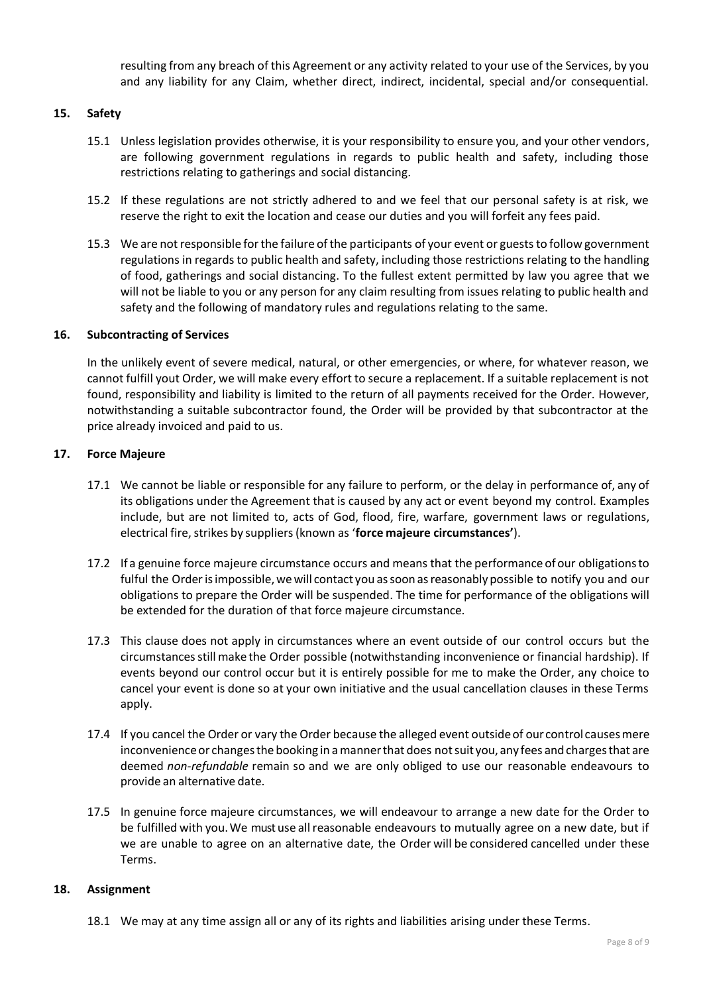resulting from any breach of this Agreement or any activity related to your use of the Services, by you and any liability for any Claim, whether direct, indirect, incidental, special and/or consequential.

### **15. Safety**

- 15.1 Unless legislation provides otherwise, it is your responsibility to ensure you, and your other vendors, are following government regulations in regards to public health and safety, including those restrictions relating to gatherings and social distancing.
- 15.2 If these regulations are not strictly adhered to and we feel that our personal safety is at risk, we reserve the right to exit the location and cease our duties and you will forfeit any fees paid.
- 15.3 We are not responsible for the failure of the participants of your event or guests to follow government regulations in regards to public health and safety, including those restrictions relating to the handling of food, gatherings and social distancing. To the fullest extent permitted by law you agree that we will not be liable to you or any person for any claim resulting from issues relating to public health and safety and the following of mandatory rules and regulations relating to the same.

#### **16. Subcontracting of Services**

In the unlikely event of severe medical, natural, or other emergencies, or where, for whatever reason, we cannot fulfill yout Order, we will make every effort to secure a replacement. If a suitable replacement is not found, responsibility and liability is limited to the return of all payments received for the Order. However, notwithstanding a suitable subcontractor found, the Order will be provided by that subcontractor at the price already invoiced and paid to us.

#### **17. Force Majeure**

- 17.1 We cannot be liable or responsible for any failure to perform, or the delay in performance of, any of its obligations under the Agreement that is caused by any act or event beyond my control. Examples include, but are not limited to, acts of God, flood, fire, warfare, government laws or regulations, electrical fire, strikes by suppliers (known as '**force majeure circumstances'**).
- 17.2 If a genuine force majeure circumstance occurs and means that the performance of our obligationsto fulful the Order is impossible, we will contact you as soon as reasonably possible to notify you and our obligations to prepare the Order will be suspended. The time for performance of the obligations will be extended for the duration of that force majeure circumstance.
- 17.3 This clause does not apply in circumstances where an event outside of our control occurs but the circumstancesstillmake the Order possible (notwithstanding inconvenience or financial hardship). If events beyond our control occur but it is entirely possible for me to make the Order, any choice to cancel your event is done so at your own initiative and the usual cancellation clauses in these Terms apply.
- 17.4 If you cancel the Order or vary the Order because the alleged event outsideof our control causesmere inconvenience or changes the booking in a manner that does not suit you, any fees and charges that are deemed *non-refundable* remain so and we are only obliged to use our reasonable endeavours to provide an alternative date.
- 17.5 In genuine force majeure circumstances, we will endeavour to arrange a new date for the Order to be fulfilled with you. We must use all reasonable endeavours to mutually agree on a new date, but if we are unable to agree on an alternative date, the Order will be considered cancelled under these Terms.

#### **18. Assignment**

18.1 We may at any time assign all or any of its rights and liabilities arising under these Terms.